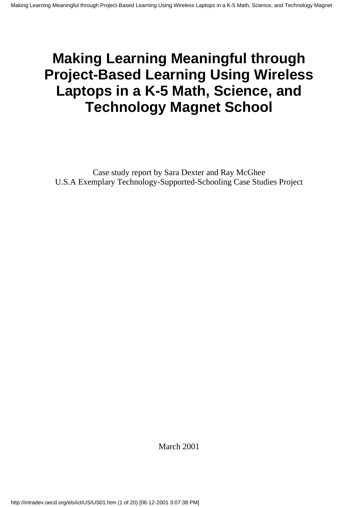# **Making Learning Meaningful through Project-Based Learning Using Wireless Laptops in a K-5 Math, Science, and Technology Magnet School**

Case study report by Sara Dexter and Ray McGhee U.S.A Exemplary Technology-Supported-Schooling Case Studies Project

March 2001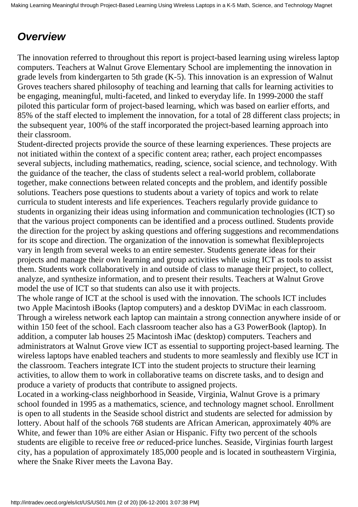## *Overview*

The innovation referred to throughout this report is project-based learning using wireless laptop computers. Teachers at Walnut Grove Elementary School are implementing the innovation in grade levels from kindergarten to 5th grade (K-5). This innovation is an expression of Walnut Grove s teachers shared philosophy of teaching and learning that calls for learning activities to be engaging, meaningful, multi-faceted, and linked to everyday life. In 1999-2000 the staff piloted this particular form of project-based learning, which was based on earlier efforts, and 85% of the staff elected to implement the innovation, for a total of 28 different class projects; in the subsequent year, 100% of the staff incorporated the project-based learning approach into their classroom.

Student-directed projects provide the source of these learning experiences. These projects are not initiated within the context of a specific content area; rather, each project encompasses several subjects, including mathematics, reading, science, social science, and technology. With the guidance of the teacher, the class of students select a real-world problem, collaborate together, make connections between related concepts and the problem, and identify possible solutions. Teachers pose questions to students about a variety of topics and work to relate curricula to student interests and life experiences. Teachers regularly provide guidance to students in organizing their ideas using information and communication technologies (ICT) so that the various project components can be identified and a process outlined. Students provide the direction for the project by asking questions and offering suggestions and recommendations for its scope and direction. The organization of the innovation is somewhat flexible projects vary in length from several weeks to an entire semester. Students generate ideas for their projects and manage their own learning and group activities while using ICT as tools to assist them. Students work collaboratively in and outside of class to manage their project, to collect, analyze, and synthesize information, and to present their results. Teachers at Walnut Grove model the use of ICT so that students can also use it with projects.

The whole range of ICT at the school is used with the innovation. The school s ICT includes two Apple Macintosh iBooks (laptop computers) and a desktop DViMac in each classroom. Through a wireless network each laptop can maintain a strong connection anywhere inside of or within 150 feet of the school. Each classroom teacher also has a G3 PowerBook (laptop). In addition, a computer lab houses 25 Macintosh iMac (desktop) computers. Teachers and administrators at Walnut Grove view ICT as essential to supporting project-based learning. The wireless laptops have enabled teachers and students to more seamlessly and flexibly use ICT in the classroom. Teachers integrate ICT into the student projects to structure their learning activities, to allow them to work in collaborative teams on discrete tasks, and to design and produce a variety of products that contribute to assigned projects.

Located in a working-class neighborhood in Seaside, Virginia, Walnut Grove is a primary school founded in 1995 as a mathematics, science, and technology magnet school. Enrollment is open to all students in the Seaside school district and students are selected for admission by lottery. About half of the school s 768 students are African American, approximately 40% are White, and fewer than 10% are either Asian or Hispanic. Fifty two percent of the school s students are eligible to receive free *or* reduced-price lunches. Seaside, Virginias fourth largest city, has a population of approximately 185,000 people and is located in southeastern Virginia, where the Snake River meets the Lavona Bay.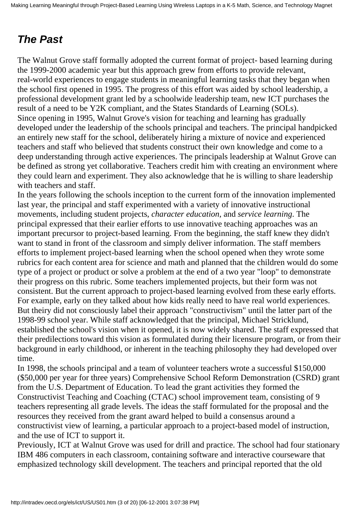# *The Past*

The Walnut Grove staff formally adopted the current format of project- based learning during the 1999-2000 academic year but this approach grew from efforts to provide relevant, real-world experiences to engage students in meaningful learning tasks that they began when the school first opened in 1995. The progress of this effort was aided by school leadership, a professional development grant led by a schoolwide leadership team, new ICT purchases the result of a need to be Y2K compliant, and the States Standards of Learning (SOLs). Since opening in 1995, Walnut Grove's vision for teaching and learning has gradually developed under the leadership of the school s principal and teachers. The principal handpicked an entirely new staff for the school, deliberately hiring a mixture of novice and experienced teachers and staff who believed that students construct their own knowledge and come to a deep understanding through active experiences. The principal s leadership at Walnut Grove can be defined as strong yet collaborative. Teachers credit him with creating an environment where they could learn and experiment. They also acknowledge that he is willing to share leadership with teachers and staff.

In the years following the school s inception to the current form of the innovation implemented last year, the principal and staff experimented with a variety of innovative instructional movements, including student projects, *character education*, and *service learning*. The principal expressed that their earlier efforts to use innovative teaching approaches was an important precursor to project-based learning. From the beginning, the staff knew they didn't want to stand in front of the classroom and simply deliver information. The staff members efforts to implement project-based learning when the school opened when they wrote some rubrics for each content area for science and math and planned that the children would do some type of a project or product or solve a problem at the end of a two year "loop" to demonstrate their progress on this rubric. Some teachers implemented projects, but their form was not consistent. But the current approach to project-based learning evolved from these early efforts. For example, early on they talked about how kids really need to have real world experiences. But theiry did not consciously label their approach "constructivism" until the latter part of the 1998-99 school year. While staff acknowledged that the principal, Michael Stricklund, established the school's vision when it opened, it is now widely shared. The staff expressed that their predilections toward this vision as formulated during their licensure program, or from their background in early childhood, or inherent in the teaching philosophy they had developed over time.

In 1998, the school s principal and a team of volunteer teachers wrote a successful \$150,000 (\$50,000 per year for three years) Comprehensive School Reform Demonstration (CSRD) grant from the U.S. Department of Education. To lead the grant activities they formed the Constructivist Teaching and Coaching (CTAC) school improvement team, consisting of 9 teachers representing all grade levels. The ideas the staff formulated for the proposal and the resources they received from the grant award helped to build a consensus around a constructivist view of learning, a particular approach to a project-based model of instruction, and the use of ICT to support it.

Previously, ICT at Walnut Grove was used for drill and practice. The school had four stationary IBM 486 computers in each classroom, containing software and interactive courseware that emphasized technology skill development. The teachers and principal reported that the old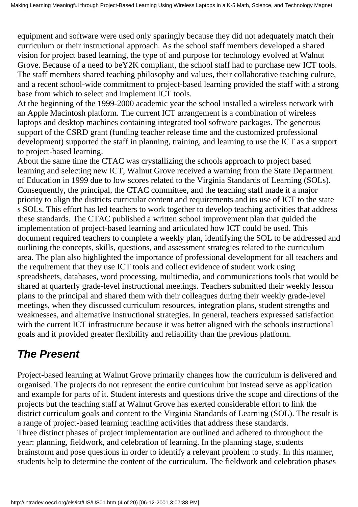equipment and software were used only sparingly because they did not adequately match their curriculum or their instructional approach. As the school staff members developed a shared vision for project based learning, the type of and purpose for technology evolved at Walnut Grove. Because of a need to beY2K compliant, the school staff had to purchase new ICT tools. The staff members shared teaching philosophy and values, their collaborative teaching culture, and a recent school-wide commitment to project-based learning provided the staff with a strong base from which to select and implement ICT tools.

At the beginning of the 1999-2000 academic year the school installed a wireless network with an Apple Macintosh platform. The current ICT arrangement is a combination of wireless laptops and desktop machines containing integrated tool software packages. The generous support of the CSRD grant (funding teacher release time and the customized professional development) supported the staff in planning, training, and learning to use the ICT as a support to project-based learning.

About the same time the CTAC was crystallizing the school s approach to project based learning and selecting new ICT, Walnut Grove received a warning from the State Department of Education in 1999 due to low scores related to the Virginia Standards of Learning (SOLs). Consequently, the principal, the CTAC committee, and the teaching staff made it a major priority to align the district s curricular content and requirements and its use of ICT to the state s SOLs. This effort has led teachers to work together to develop teaching activities that address these standards. The CTAC published a written school improvement plan that guided the implementation of project-based learning and articulated how ICT could be used. This document required teachers to complete a weekly plan, identifying the SOL to be addressed and outlining the concepts, skills, questions, and assessment strategies related to the curriculum area. The plan also highlighted the importance of professional development for all teachers and the requirement that they use ICT tools and collect evidence of student work using spreadsheets, databases, word processing, multimedia, and communications tools that would be shared at quarterly grade-level instructional meetings. Teachers submitted their weekly lesson plans to the principal and shared them with their colleagues during their weekly grade-level meetings, when they discussed curriculum resources, integration plans, student strengths and weaknesses, and alternative instructional strategies. In general, teachers expressed satisfaction with the current ICT infrastructure because it was better aligned with the school s instructional goals and it provided greater flexibility and reliability than the previous platform.

# *The Present*

Project-based learning at Walnut Grove primarily changes how the curriculum is delivered and organised. The projects do not represent the entire curriculum but instead serve as application and example for parts of it. Student interests and questions drive the scope and directions of the projects but the teaching staff at Walnut Grove has exerted considerable effort to link the district curriculum goals and content to the Virginia Standards of Learning (SOL). The result is a range of project-based learning teaching activities that address these standards. Three distinct phases of project implementation are outlined and adhered to throughout the year: planning, fieldwork, and celebration of learning. In the planning stage, students brainstorm and pose questions in order to identify a relevant problem to study. In this manner, students help to determine the content of the curriculum. The fieldwork and celebration phases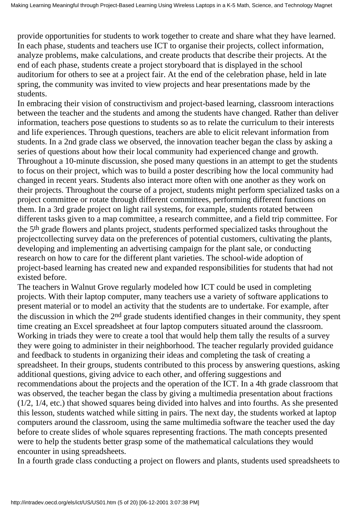provide opportunities for students to work together to create and share what they have learned. In each phase, students and teachers use ICT to organise their projects, collect information, analyze problems, make calculations, and create products that describe their projects. At the end of each phase, students create a project storyboard that is displayed in the school auditorium for others to see at a project fair. At the end of the celebration phase, held in late spring, the community was invited to view projects and hear presentations made by the students.

In embracing their vision of constructivism and project-based learning, classroom interactions between the teacher and the students and among the students have changed. Rather than deliver information, teachers pose questions to students so as to relate the curriculum to their interests and life experiences. Through questions, teachers are able to elicit relevant information from students. In a 2nd grade class we observed, the innovation teacher began the class by asking a series of questions about how their local community had experienced change and growth. Throughout a 10-minute discussion, she posed many questions in an attempt to get the students to focus on their project, which was to build a poster describing how the local community had changed in recent years. Students also interact more often with one another as they work on their projects. Throughout the course of a project, students might perform specialized tasks on a project committee or rotate through different committees, performing different functions on them. In a 3rd grade project on light rail systems, for example, students rotated between different tasks given to a map committee, a research committee, and a field trip committee. For the 5th grade flowers and plants project, students performed specialized tasks throughout the project collecting survey data on the preferences of potential customers, cultivating the plants, developing and implementing an advertising campaign for the plant sale, or conducting research on how to care for the different plant varieties. The school-wide adoption of project-based learning has created new and expanded responsibilities for students that had not existed before.

The teachers in Walnut Grove regularly modeled how ICT could be used in completing projects. With their laptop computer, many teachers use a variety of software applications to present material or to model an activity that the students are to undertake. For example, after the discussion in which the 2<sup>nd</sup> grade students identified changes in their community, they spent time creating an Excel spreadsheet at four laptop computers situated around the classroom. Working in triads they were to create a tool that would help them tally the results of a survey they were going to administer in their neighborhood. The teacher regularly provided guidance and feedback to students in organizing their ideas and completing the task of creating a spreadsheet. In their groups, students contributed to this process by answering questions, asking additional questions, giving advice to each other, and offering suggestions and recommendations about the projects and the operation of the ICT. In a 4th grade classroom that was observed, the teacher began the class by giving a multimedia presentation about fractions (1/2, 1/4, etc.) that showed squares being divided into halves and into fourths. As she presented this lesson, students watched while sitting in pairs. The next day, the students worked at laptop computers around the classroom, using the same multimedia software the teacher used the day before to create slides of whole squares representing fractions. The math concepts presented were to help the students better grasp some of the mathematical calculations they would encounter in using spreadsheets.

In a fourth grade class conducting a project on flowers and plants, students used spreadsheets to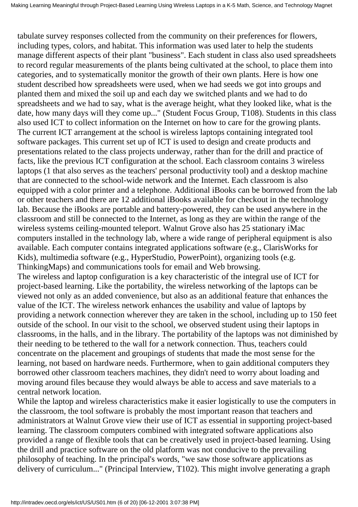tabulate survey responses collected from the community on their preferences for flowers, including types, colors, and habitat. This information was used later to help the students manage different aspects of their plant "business". Each student in class also used spreadsheets to record regular measurements of the plants being cultivated at the school, to place them into categories, and to systematically monitor the growth of their own plants. Here is how one student described how spreadsheets were used, when we had seeds we got into groups and planted them and mixed the soil up and each day we switched plants and we had to do spreadsheets and we had to say, what is the average height, what they looked like, what is the date, how many days will they come up..." (Student Focus Group, T108). Students in this class also used ICT to collect information on the Internet on how to care for the growing plants. The current ICT arrangement at the school is wireless laptops containing integrated tool software packages. This current set up of ICT is used to design and create products and presentations related to the class projects underway, rather than for the drill and practice of facts, like the previous ICT configuration at the school. Each classroom contains 3 wireless laptops (1 that also serves as the teachers' personal productivity tool) and a desktop machine that are connected to the school-wide network and the Internet. Each classroom is also equipped with a color printer and a telephone. Additional iBooks can be borrowed from the lab or other teachers and there are 12 additional iBooks available for checkout in the technology lab. Because the iBooks are portable and battery-powered, they can be used anywhere in the classroom and still be connected to the Internet, as long as they are within the range of the wireless systems ceiling-mounted teleport. Walnut Grove also has 25 stationary iMac computers installed in the technology lab, where a wide range of peripheral equipment is also available. Each computer contains integrated applications software (e.g., ClarisWorks for Kids), multimedia software (e.g., HyperStudio, PowerPoint), organizing tools (e.g. ThinkingMaps) and communications tools for email and Web browsing. The wireless and laptop configuration is a key characteristic of the integral use of ICT for project-based learning. Like the portability, the wireless networking of the laptops can be viewed not only as an added convenience, but also as an additional feature that enhances the value of the ICT. The wireless network enhances the usability and value of laptops by providing a network connection wherever they are taken in the school, including up to 150 feet outside of the school. In our visit to the school, we observed student using their laptops in classrooms, in the halls, and in the library. The portability of the laptops was not diminished by their needing to be tethered to the wall for a network connection. Thus, teachers could concentrate on the placement and groupings of students that made the most sense for the learning, not based on hardware needs. Furthermore, when to gain additional computers they borrowed other classroom teachers machines, they didn't need to worry about loading and moving around files because they would always be able to access and save materials to a central network location.

While the laptop and wireless characteristics make it easier logistically to use the computers in the classroom, the tool software is probably the most important reason that teachers and administrators at Walnut Grove view their use of ICT as essential in supporting project-based learning. The classroom computers combined with integrated software applications also provided a range of flexible tools that can be creatively used in project-based learning. Using the drill and practice software on the old platform was not conducive to the prevailing philosophy of teaching. In the principal's words, "we saw those software applications as delivery of curriculum..." (Principal Interview, T102). This might involve generating a graph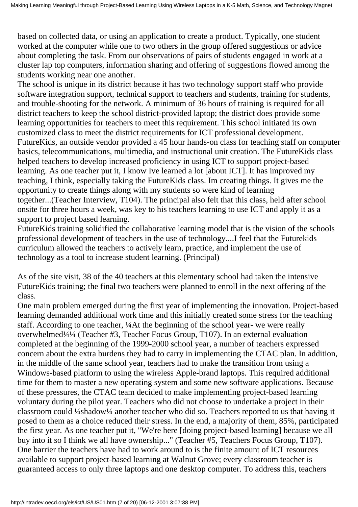based on collected data, or using an application to create a product. Typically, one student worked at the computer while one to two others in the group offered suggestions or advice about completing the task. From our observations of pairs of students engaged in work at a cluster lap top computers, information sharing and offering of suggestions flowed among the students working near one another.

The school is unique in its district because it has two technology support staff who provide software integration support, technical support to teachers and students, training for students, and trouble-shooting for the network. A minimum of 36 hours of training is required for all district teachers to keep the school district-provided laptop; the district does provide some learning opportunities for teachers to meet this requirement. This school initiated its own customized class to meet the district requirements for ICT professional development. FutureKids, an outside vendor provided a 45 hour hands-on class for teaching staff on computer basics, telecommunications, multimedia, and instructional unit creation. The FutureKids class helped teachers to develop increased proficiency in using ICT to support project-based learning. As one teacher put it, I know I ve learned a lot [about ICT]. It has improved my teaching, I think, especially taking the FutureKids class. Im creating things. It gives me the opportunity to create things along with my students so were kind of learning together...(Teacher Interview, T104). The principal also felt that this class, held after school onsite for three hours a week, was key to his teachers learning to use ICT and apply it as a support to project based learning.

FutureKids training solidified the collaborative learning model that is the vision of the schools professional development of teachers in the use of technology....I feel that the Futurekids curriculum allowed the teachers to actively learn, practice, and implement the use of technology as a tool to increase student learning. (Principal)

As of the site visit, 38 of the 40 teachers at this elementary school had taken the intensive FutureKids training; the final two teachers were planned to enroll in the next offering of the class.

One main problem emerged during the first year of implementing the innovation. Project-based learning demanded additional work time and this initially created some stress for the teaching staff. According to one teacher, ¼At the beginning of the school year- we were really overwhelmed¼¼ (Teacher #3, Teacher Focus Group, T107). In an external evaluation completed at the beginning of the 1999-2000 school year, a number of teachers expressed concern about the extra burdens they had to carry in implementing the CTAC plan. In addition, in the middle of the same school year, teachers had to make the transition from using a Windows-based platform to using the wireless Apple-brand laptops. This required additional time for them to master a new operating system and some new software applications. Because of these pressures, the CTAC team decided to make implementing project-based learning voluntary during the pilot year. Teachers who did not choose to undertake a project in their classroom could ¼shadow¼ another teacher who did so. Teachers reported to us that having it posed to them as a choice reduced their stress. In the end, a majority of them, 85%, participated the first year. As one teacher put it, "We're here [doing project-based learning] because we all buy into it so I think we all have ownership..." (Teacher #5, Teachers Focus Group, T107). One barrier the teachers have had to work around to is the finite amount of ICT resources available to support project-based learning at Walnut Grove; every classroom teacher is guaranteed access to only three laptops and one desktop computer. To address this, teachers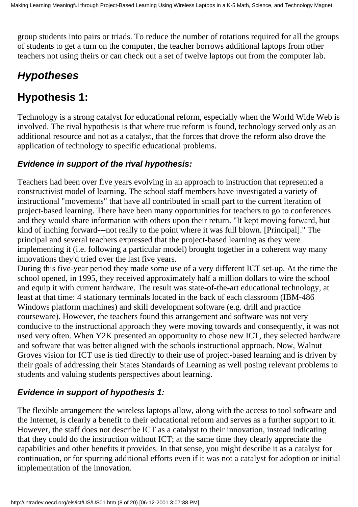group students into pairs or triads. To reduce the number of rotations required for all the groups of students to get a turn on the computer, the teacher borrows additional laptops from other teachers not using theirs or can check out a set of twelve laptops out from the computer lab.

# *Hypotheses*

# **Hypothesis 1:**

Technology is a strong catalyst for educational reform, especially when the World Wide Web is involved. The rival hypothesis is that where true reform is found, technology served only as an additional resource and not as a catalyst, that the forces that drove the reform also drove the application of technology to specific educational problems.

### **Evidence in support of the rival hypothesis:**

Teachers had been over five years evolving in an approach to instruction that represented a constructivist model of learning. The school staff members have investigated a variety of instructional "movements" that have all contributed in small part to the current iteration of project-based learning. There have been many opportunities for teachers to go to conferences and they would share information with others upon their return. "It kept moving forward, but kind of inching forward---not really to the point where it was full blown. [Principal]." The principal and several teachers expressed that the project-based learning as they were implementing it (i.e. following a particular model) brought together in a coherent way many innovations they'd tried over the last five years.

During this five-year period they made some use of a very different ICT set-up. At the time the school opened, in 1995, they received approximately half a million dollars to wire the school and equip it with current hardware. The result was state-of-the-art educational technology, at least at that time: 4 stationary terminals located in the back of each classroom (IBM-486 Windows platform machines) and skill development software (e.g. drill and practice courseware). However, the teachers found this arrangement and software was not very conducive to the instructional approach they were moving towards and consequently, it was not used very often. When Y2K presented an opportunity to chose new ICT, they selected hardware and software that was better aligned with the school s instructional approach. Now, Walnut Grove s vision for ICT use is tied directly to their use of project-based learning and is driven by their goals of addressing their States Standards of Learning as well posing relevant problems to students and valuing students perspectives about learning.

### **Evidence in support of hypothesis 1:**

The flexible arrangement the wireless laptops allow, along with the access to tool software and the Internet, is clearly a benefit to their educational reform and serves as a further support to it. However, the staff does not describe ICT as a catalyst to their innovation, instead indicating that they could do the instruction without ICT; at the same time they clearly appreciate the capabilities and other benefits it provides. In that sense, you might describe it as a catalyst for continuation, or for spurring additional efforts even if it was not a catalyst for adoption or initial implementation of the innovation.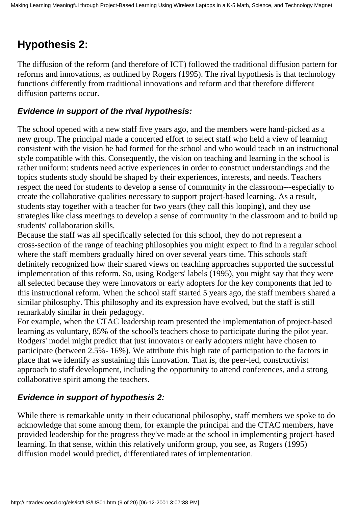# **Hypothesis 2:**

The diffusion of the reform (and therefore of ICT) followed the traditional diffusion pattern for reforms and innovations, as outlined by Rogers (1995). The rival hypothesis is that technology functions differently from traditional innovations and reform and that therefore different diffusion patterns occur.

### **Evidence in support of the rival hypothesis:**

The school opened with a new staff five years ago, and the members were hand-picked as a new group. The principal made a concerted effort to select staff who held a view of learning consistent with the vision he had formed for the school and who would teach in an instructional style compatible with this. Consequently, the vision on teaching and learning in the school is rather uniform: students need active experiences in order to construct understandings and the topics students study should be shaped by their experiences, interests, and needs. Teachers respect the need for students to develop a sense of community in the classroom---especially to create the collaborative qualities necessary to support project-based learning. As a result, students stay together with a teacher for two years (they call this looping), and they use strategies like class meetings to develop a sense of community in the classroom and to build up students' collaboration skills.

Because the staff was all specifically selected for this school, they do not represent a cross-section of the range of teaching philosophies you might expect to find in a regular school where the staff members gradually hired on over several years time. This school s staff definitely recognized how their shared views on teaching approaches supported the successful implementation of this reform. So, using Rodgers' labels (1995), you might say that they were all selected because they were innovators or early adopters for the key components that led to this instructional reform. When the school staff started 5 years ago, the staff members shared a similar philosophy. This philosophy and its expression have evolved, but the staff is still remarkably similar in their pedagogy.

For example, when the CTAC leadership team presented the implementation of project-based learning as voluntary, 85% of the school's teachers chose to participate during the pilot year. Rodgers' model might predict that just innovators or early adopters might have chosen to participate (between 2.5%- 16%). We attribute this high rate of participation to the factors in place that we identify as sustaining this innovation. That is, the peer-led, constructivist approach to staff development, including the opportunity to attend conferences, and a strong collaborative spirit among the teachers.

### **Evidence in support of hypothesis 2:**

While there is remarkable unity in their educational philosophy, staff members we spoke to do acknowledge that some among them, for example the principal and the CTAC members, have provided leadership for the progress they've made at the school in implementing project-based learning. In that sense, within this relatively uniform group, you see, as Rogers (1995) diffusion model would predict, differentiated rates of implementation.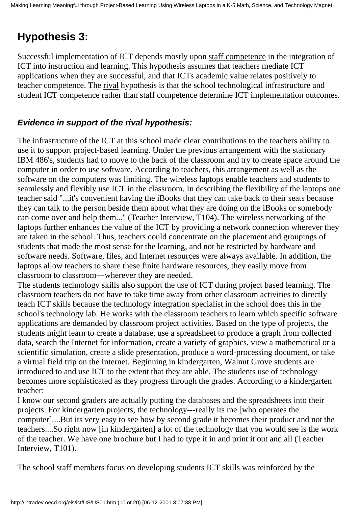# **Hypothesis 3:**

Successful implementation of ICT depends mostly upon staff competence in the integration of ICT into instruction and learning. This hypothesis assumes that teachers mediate ICT applications when they are successful, and that ICT s academic value relates positively to teacher competence. The rival hypothesis is that the school technological infrastructure and student ICT competence rather than staff competence determine ICT implementation outcomes.

### **Evidence in support of the rival hypothesis:**

The infrastructure of the ICT at this school made clear contributions to the teachers ability to use it to support project-based learning. Under the previous arrangement with the stationary IBM 486's, students had to move to the back of the classroom and try to create space around the computer in order to use software. According to teachers, this arrangement as well as the software on the computers was limiting. The wireless laptops enable teachers and students to seamlessly and flexibly use ICT in the classroom. In describing the flexibility of the laptops one teacher said "...it's convenient having the iBooks that they can take back to their seats because they can talk to the person beside them about what they are doing on the iBooks or somebody can come over and help them..." (Teacher Interview, T104). The wireless networking of the laptops further enhances the value of the ICT by providing a network connection wherever they are taken in the school. Thus, teachers could concentrate on the placement and groupings of students that made the most sense for the learning, and not be restricted by hardware and software needs. Software, files, and Internet resources were always available. In addition, the laptops allow teachers to share these finite hardware resources, they easily move from classroom to classroom---wherever they are needed.

The students technology skills also support the use of ICT during project based learning. The classroom teachers do not have to take time away from other classroom activities to directly teach ICT skills because the technology integration specialist in the school does this in the school's technology lab. He works with the classroom teachers to learn which specific software applications are demanded by classroom project activities. Based on the type of projects, the students might learn to create a database, use a spreadsheet to produce a graph from collected data, search the Internet for information, create a variety of graphics, view a mathematical or a scientific simulation, create a slide presentation, produce a word-processing document, or take a virtual field trip on the Internet. Beginning in kindergarten, Walnut Grove students are introduced to and use ICT to the extent that they are able. The students use of technology becomes more sophisticated as they progress through the grades. According to a kindergarten teacher:

I know our second graders are actually putting the databases and the spreadsheets into their projects. For kindergarten projects, the technology---really its me [who operates the computer]....But it s very easy to see how by second grade it becomes their product and not the teachers....So right now [in kindergarten] a lot of the technology that you would see is the work of the teacher. We have one brochure but I had to type it in and print it out and all (Teacher Interview, T101).

The school staff members focus on developing students ICT skills was reinforced by the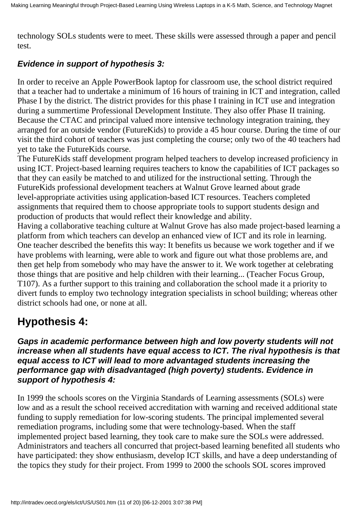technology SOLs students were to meet. These skills were assessed through a paper and pencil test.

### **Evidence in support of hypothesis 3:**

In order to receive an Apple PowerBook laptop for classroom use, the school district required that a teacher had to undertake a minimum of 16 hours of training in ICT and integration, called Phase I by the district. The district provides for this phase I training in ICT use and integration during a summertime Professional Development Institute. They also offer Phase II training. Because the CTAC and principal valued more intensive technology integration training, they arranged for an outside vendor (FutureKids) to provide a 45 hour course. During the time of our visit the third cohort of teachers was just completing the course; only two of the 40 teachers had yet to take the FutureKids course.

The FutureKids staff development program helped teachers to develop increased proficiency in using ICT. Project-based learning requires teachers to know the capabilities of ICT packages so that they can easily be matched to and utilized for the instructional setting. Through the FutureKids professional development teachers at Walnut Grove learned about grade level-appropriate activities using application-based ICT resources. Teachers completed assignments that required them to choose appropriate tools to support students design and production of products that would reflect their knowledge and ability.

Having a collaborative teaching culture at Walnut Grove has also made project-based learning a platform from which teachers can develop an enhanced view of ICT and its role in learning. One teacher described the benefits this way: It benefits us because we work together and if we have problems with learning, we re able to work and figure out what those problems are, and then get help from somebody who may have the answer to it. We work together at celebrating those things that are positive and help children with their learning... (Teacher Focus Group, T107). As a further support to this training and collaboration the school made it a priority to divert funds to employ two technology integration specialists in school building; whereas other district schools had one, or none at all.

### **Hypothesis 4:**

**Gaps in academic performance between high and low poverty students will not increase when all students have equal access to ICT. The rival hypothesis is that equal access to ICT will lead to more advantaged students increasing the performance gap with disadvantaged (high poverty) students. Evidence in support of hypothesis 4:**

In 1999 the schools scores on the Virginia Standards of Learning assessments (SOLs) were low and as a result the school received accreditation with warning and received additional state funding to supply remediation for low-scoring students. The principal implemented several remediation programs, including some that were technology-based. When the staff implemented project based learning, they took care to make sure the SOLs were addressed. Administrators and teachers all concurred that project-based learning benefited all students who have participated: they show enthusiasm, develop ICT skills, and have a deep understanding of the topics they study for their project. From 1999 to 2000 the school s SOL scores improved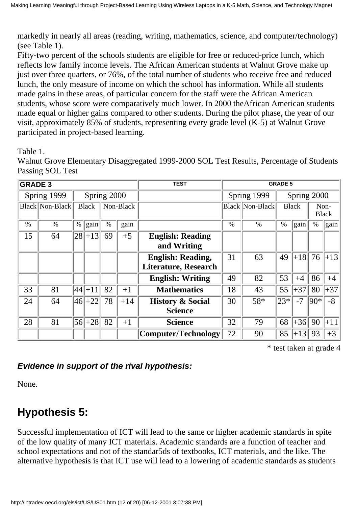markedly in nearly all areas (reading, writing, mathematics, science, and computer/technology) (see Table 1).

Fifty-two percent of the school s students are eligible for free or reduced-price lunch, which reflects low family income levels. The African American students at Walnut Grove make up just over three quarters, or 76%, of the total number of students who receive free and reduced lunch, the only measure of income on which the school has information. While all students made gains in these areas, of particular concern for the staff were the African American students, whose score were comparatively much lower. In 2000 theAfrican American students made equal or higher gains compared to other students. During the pilot phase, the year of our visit, approximately 85% of students, representing every grade level (K-5) at Walnut Grove participated in project-based learning.

Table 1.

Walnut Grove Elementary Disaggregated 1999-2000 SOL Test Results, Percentage of Students Passing SOL Test

| <b>GRADE 3</b> |                        |      |              |      |           | <b>TEST</b>                                             | <b>GRADE 5</b>             |                        |         |              |         |                      |
|----------------|------------------------|------|--------------|------|-----------|---------------------------------------------------------|----------------------------|------------------------|---------|--------------|---------|----------------------|
|                | Spring 1999            |      | Spring 2000  |      |           |                                                         | Spring 1999<br>Spring 2000 |                        |         |              |         |                      |
|                | <b>Black Non-Black</b> |      | <b>Black</b> |      | Non-Black |                                                         |                            | <b>Black Non-Black</b> |         | <b>Black</b> |         | Non-<br><b>Black</b> |
| $\%$           | $\%$                   | $\%$ | gain         | $\%$ | gain      |                                                         | $\frac{0}{0}$              | $\%$                   | $\%$    | gain         | $\%$    | $\ $ gain            |
| 15             | 64                     | 28   | $+13$        | 69   | $+5$      | <b>English: Reading</b><br>and Writing                  |                            |                        |         |              |         |                      |
|                |                        |      |              |      |           | <b>English: Reading,</b><br><b>Literature, Research</b> | 31                         | 63                     | 49      | $ +18 $      | 76      | $+13$                |
|                |                        |      |              |      |           | <b>English: Writing</b>                                 | 49                         | 82                     | 53      | $+4$         | 86      | $+4$                 |
| 33             | 81                     | 44   | $+11$        | 82   | $+1$      | <b>Mathematics</b>                                      | 18                         | 43                     | 55      | $+37$        | 80      | $+37$                |
| 24             | 64                     | 46   | $+22$        | 78   | $+14$     | <b>History &amp; Social</b><br><b>Science</b>           | 30                         | 58*                    | $ 23* $ | $-7$         | $ 90* $ | $-8$                 |
| 28             | 81                     | 56   | $+28$        | 82   | $+1$      | <b>Science</b>                                          | 32                         | 79                     | 68      | $+36$        | 90      | $+11$                |
|                |                        |      |              |      |           | Computer/Technology                                     | 72                         | 90                     | 85      | $+13$        | 93      | $+3$                 |

\* test taken at grade 4

### **Evidence in support of the rival hypothesis:**

None.

# **Hypothesis 5:**

Successful implementation of ICT will lead to the same or higher academic standards in spite of the low quality of many ICT materials. Academic standards are a function of teacher and school expectations and not of the standar5ds of textbooks, ICT materials, and the like. The alternative hypothesis is that ICT use will lead to a lowering of academic standards as students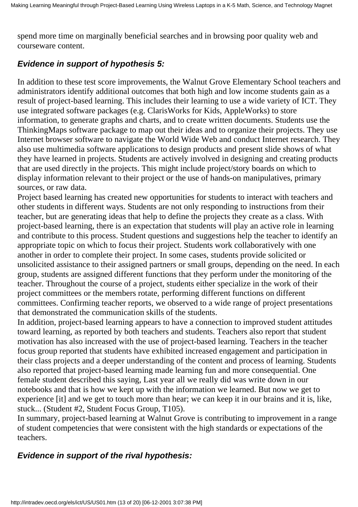spend more time on marginally beneficial searches and in browsing poor quality web and courseware content.

### **Evidence in support of hypothesis 5:**

In addition to these test score improvements, the Walnut Grove Elementary School teachers and administrators identify additional outcomes that both high and low income students gain as a result of project-based learning. This includes their learning to use a wide variety of ICT. They use integrated software packages (e.g. ClarisWorks for Kids, AppleWorks) to store information, to generate graphs and charts, and to create written documents. Students use the ThinkingMaps software package to map out their ideas and to organize their projects. They use Internet browser software to navigate the World Wide Web and conduct Internet research. They also use multimedia software applications to design products and present slide shows of what they have learned in projects. Students are actively involved in designing and creating products that are used directly in the projects. This might include project/story boards on which to display information relevant to their project or the use of hands-on manipulatives, primary sources, or raw data.

Project based learning has created new opportunities for students to interact with teachers and other students in different ways. Students are not only responding to instructions from their teacher, but are generating ideas that help to define the projects they create as a class. With project-based learning, there is an expectation that students will play an active role in learning and contribute to this process. Student questions and suggestions help the teacher to identify an appropriate topic on which to focus their project. Students work collaboratively with one another in order to complete their project. In some cases, students provide solicited or unsolicited assistance to their assigned partners or small groups, depending on the need. In each group, students are assigned different functions that they perform under the monitoring of the teacher. Throughout the course of a project, students either specialize in the work of their project committees or the members rotate, performing different functions on different committees. Confirming teacher reports, we observed to a wide range of project presentations that demonstrated the communication skills of the students.

In addition, project-based learning appears to have a connection to improved student attitudes toward learning, as reported by both teachers and students. Teachers also report that student motivation has also increased with the use of project-based learning. Teachers in the teacher focus group reported that students have exhibited increased engagement and participation in their class projects and a deeper understanding of the content and process of learning. Students also reported that project-based learning made learning fun and more consequential. One female student described this saying, Last year all we really did was write down in our notebooks and that is how we kept up with the information we learned. But now we get to experience [it] and we get to touch more than hear; we can keep it in our brains and it is, like, stuck... (Student #2, Student Focus Group, T105).

In summary, project-based learning at Walnut Grove is contributing to improvement in a range of student competencies that were consistent with the high standards or expectations of the teachers.

### **Evidence in support of the rival hypothesis:**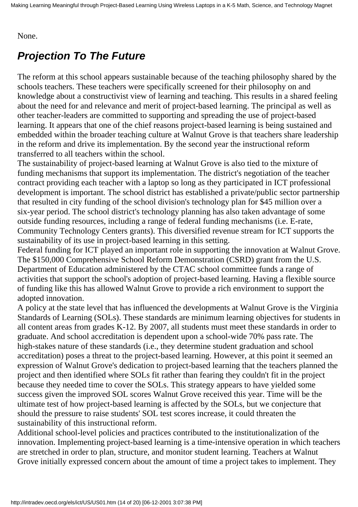#### None.

## *Projection To The Future*

The reform at this school appears sustainable because of the teaching philosophy shared by the school s teachers. These teachers were specifically screened for their philosophy on and knowledge about a constructivist view of learning and teaching. This results in a shared feeling about the need for and relevance and merit of project-based learning. The principal as well as other teacher-leaders are committed to supporting and spreading the use of project-based learning. It appears that one of the chief reasons project-based learning is being sustained and embedded within the broader teaching culture at Walnut Grove is that teachers share leadership in the reform and drive its implementation. By the second year the instructional reform transferred to all teachers within the school.

The sustainability of project-based learning at Walnut Grove is also tied to the mixture of funding mechanisms that support its implementation. The district's negotiation of the teacher contract providing each teacher with a laptop so long as they participated in ICT professional development is important. The school district has established a private/public sector partnership that resulted in city funding of the school division's technology plan for \$45 million over a six-year period. The school district's technology planning has also taken advantage of some outside funding resources, including a range of federal funding mechanisms (i.e. E-rate, Community Technology Centers grants). This diversified revenue stream for ICT supports the sustainability of its use in project-based learning in this setting.

Federal funding for ICT played an important role in supporting the innovation at Walnut Grove. The \$150,000 Comprehensive School Reform Demonstration (CSRD) grant from the U.S. Department of Education administered by the CTAC school committee funds a range of activities that support the school's adoption of project-based learning. Having a flexible source of funding like this has allowed Walnut Grove to provide a rich environment to support the adopted innovation.

A policy at the state level that has influenced the developments at Walnut Grove is the Virginia Standards of Learning (SOLs). These standards are minimum learning objectives for students in all content areas from grades K-12. By 2007, all students must meet these standards in order to graduate. And school accreditation is dependent upon a school-wide 70% pass rate. The high-stakes nature of these standards (i.e., they determine student graduation and school accreditation) poses a threat to the project-based learning. However, at this point it seemed an expression of Walnut Grove's dedication to project-based learning that the teachers planned the project and then identified where SOLs fit rather than fearing they couldn't fit in the project because they needed time to cover the SOLs. This strategy appears to have yielded some success given the improved SOL scores Walnut Grove received this year. Time will be the ultimate test of how project-based learning is affected by the SOLs, but we conjecture that should the pressure to raise students' SOL test scores increase, it could threaten the sustainability of this instructional reform.

Additional school-level policies and practices contributed to the institutionalization of the innovation. Implementing project-based learning is a time-intensive operation in which teachers are stretched in order to plan, structure, and monitor student learning. Teachers at Walnut Grove initially expressed concern about the amount of time a project takes to implement. They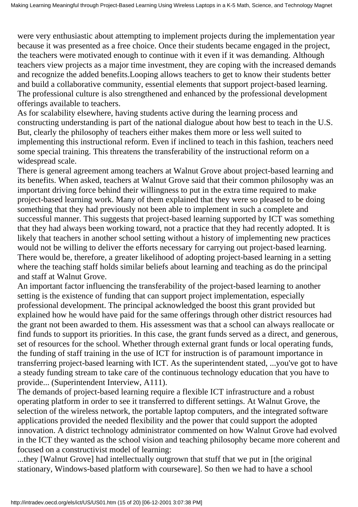were very enthusiastic about attempting to implement projects during the implementation year because it was presented as a free choice. Once their students became engaged in the project, the teachers were motivated enough to continue with it even if it was demanding. Although teachers view projects as a major time investment, they are coping with the increased demands and recognize the added benefits.Looping allows teachers to get to know their students better and build a collaborative community, essential elements that support project-based learning. The professional culture is also strengthened and enhanced by the professional development offerings available to teachers.

As for scalability elsewhere, having students active during the learning process and constructing understanding is part of the national dialogue about how best to teach in the U.S. But, clearly the philosophy of teachers either makes them more or less well suited to implementing this instructional reform. Even if inclined to teach in this fashion, teachers need some special training. This threatens the transferability of the instructional reform on a widespread scale.

There is general agreement among teachers at Walnut Grove about project-based learning and its benefits. When asked, teachers at Walnut Grove said that their common philosophy was an important driving force behind their willingness to put in the extra time required to make project-based learning work. Many of them explained that they were so pleased to be doing something that they had previously not been able to implement in such a complete and successful manner. This suggests that project-based learning supported by ICT was something that they had always been working toward, not a practice that they had recently adopted. It is likely that teachers in another school setting without a history of implementing new practices would not be willing to deliver the efforts necessary for carrying out project-based learning. There would be, therefore, a greater likelihood of adopting project-based learning in a setting where the teaching staff holds similar beliefs about learning and teaching as do the principal and staff at Walnut Grove.

An important factor influencing the transferability of the project-based learning to another setting is the existence of funding that can support project implementation, especially professional development. The principal acknowledged the boost this grant provided but explained how he would have paid for the same offerings through other district resources had the grant not been awarded to them. His assessment was that a school can always reallocate or find funds to support its priorities. In this case, the grant funds served as a direct, and generous, set of resources for the school. Whether through external grant funds or local operating funds, the funding of staff training in the use of ICT for instruction is of paramount importance in transferring project-based learning with ICT. As the superintendent stated, ...you've got to have a steady funding stream to take care of the continuous technology education that you have to provide... (Superintendent Interview, A111).

The demands of project-based learning require a flexible ICT infrastructure and a robust operating platform in order to see it transferred to different settings. At Walnut Grove, the selection of the wireless network, the portable laptop computers, and the integrated software applications provided the needed flexibility and the power that could support the adopted innovation. A district technology administrator commented on how Walnut Grove had evolved in the ICT they wanted as the school vision and teaching philosophy became more coherent and focused on a constructivist model of learning:

...they [Walnut Grove] had intellectually outgrown that stuff that we put in [the original stationary, Windows-based platform with courseware]. So then we had to have a school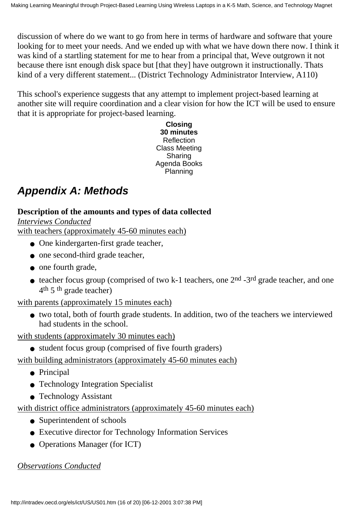discussion of where do we want to go from here in terms of hardware and software that youre looking for to meet your needs. And we ended up with what we have down there now. I think it was kind of a startling statement for me to hear from a principal that, We ve outgrown it not because there isn t enough disk space but [that they] have outgrown it instructionally. That s kind of a very different statement... (District Technology Administrator Interview, A110)

This school's experience suggests that any attempt to implement project-based learning at another site will require coordination and a clear vision for how the ICT will be used to ensure that it is appropriate for project-based learning.

> **Closing 30 minutes Reflection** Class Meeting Sharing Agenda Books Planning

# *Appendix A: Methods*

### **Description of the amounts and types of data collected**

*Interviews Conducted* with teachers (approximately 45-60 minutes each)

- One kindergarten-first grade teacher,
- one second-third grade teacher,
- one fourth grade,
- teacher focus group (comprised of two k-1 teachers, one 2<sup>nd</sup> -3<sup>rd</sup> grade teacher, and one 4th 5th grade teacher)

#### with parents (approximately 15 minutes each)

two total, both of fourth grade students. In addition, two of the teachers we interviewed ● had students in the school.

with students (approximately 30 minutes each)

• student focus group (comprised of five fourth graders)

with building administrators (approximately 45-60 minutes each)

- Principal
- Technology Integration Specialist
- Technology Assistant

with district office administrators (approximately 45-60 minutes each)

- Superintendent of schools
- Executive director for Technology Information Services
- Operations Manager (for ICT)

*Observations Conducted*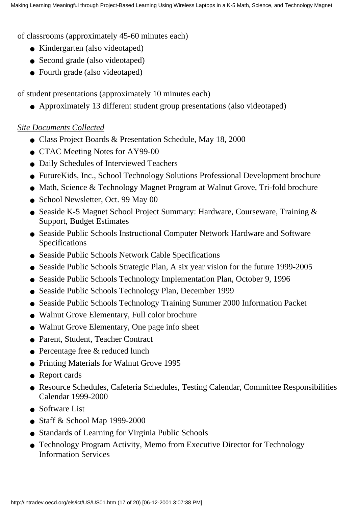#### of classrooms (approximately 45-60 minutes each)

- Kindergarten (also videotaped)
- Second grade (also videotaped)
- Fourth grade (also videotaped)

#### of student presentations (approximately 10 minutes each)

● Approximately 13 different student group presentations (also videotaped)

#### *Site Documents Collected*

- Class Project Boards & Presentation Schedule, May 18, 2000
- CTAC Meeting Notes for AY99-00
- Daily Schedules of Interviewed Teachers
- FutureKids, Inc., School Technology Solutions Professional Development brochure
- Math, Science & Technology Magnet Program at Walnut Grove, Tri-fold brochure
- School Newsletter, Oct. 99 May 00
- Seaside K-5 Magnet School Project Summary: Hardware, Courseware, Training & Support, Budget Estimates
- Seaside Public Schools Instructional Computer Network Hardware and Software Specifications
- Seaside Public Schools Network Cable Specifications
- Seaside Public Schools Strategic Plan, A six year vision for the future 1999-2005
- Seaside Public Schools Technology Implementation Plan, October 9, 1996
- Seaside Public Schools Technology Plan, December 1999
- Seaside Public Schools Technology Training Summer 2000 Information Packet
- Walnut Grove Elementary, Full color brochure
- Walnut Grove Elementary, One page info sheet
- Parent, Student, Teacher Contract
- Percentage free & reduced lunch
- Printing Materials for Walnut Grove 1995
- Report cards
- Resource Schedules, Cafeteria Schedules, Testing Calendar, Committee Responsibilities Calendar 1999-2000
- Software List
- Staff  $&$  School Map 1999-2000
- Standards of Learning for Virginia Public Schools
- Technology Program Activity, Memo from Executive Director for Technology Information Services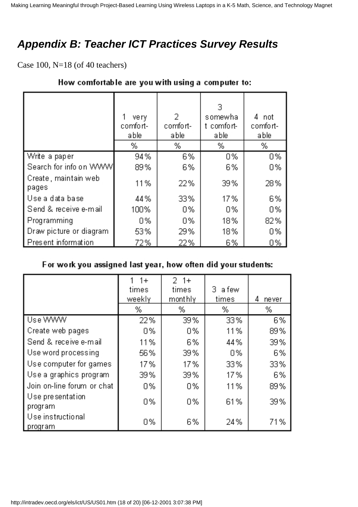# *Appendix B: Teacher ICT Practices Survey Results*

Case 100, N=18 (of 40 teachers)

|                               | very<br>comfort-<br>able<br>% | 2<br>comfort-<br>able<br>% | з<br>somewha<br>t comfort-<br>able<br>% | 4<br>not<br>comfort-<br>able<br>% |
|-------------------------------|-------------------------------|----------------------------|-----------------------------------------|-----------------------------------|
| Write a paper                 | 94%                           | 6%                         | 0%                                      | 0%                                |
| Search for info on WWW        | 89%                           | 6%                         | 6%                                      | 0%                                |
| Create, maintain web<br>pages | 11%                           | 22%                        | 39%                                     | 28%                               |
| Use a data base               | 44%                           | 33%                        | 17%                                     | 6%                                |
| Send & receive e-mail         | 100%                          | 0%                         | 0%                                      | 0%                                |
| Programming                   | 0%                            | 0%                         | 18%                                     | 82%                               |
| Draw picture or diagram       | 53%                           | 29%                        | 18%                                     | 0%                                |
| Present information           | 72%                           | 22%                        | 6%                                      | 0%                                |

#### How comfortable are you with using a computer to:

#### For work you assigned last year, how often did your students:

|                                | $1+$<br>times<br>weekly<br>% | $2 + 1 +$<br>times<br>monthly<br>% | з.<br>a few<br>times<br>% | 4<br>never<br>% |
|--------------------------------|------------------------------|------------------------------------|---------------------------|-----------------|
| Use WWW                        | 22%                          | 39%                                | 33%                       | 6%              |
| Create web pages               | 0%                           | 0%                                 | 11%                       | 89%             |
| Send & receive e-mail          | 11%                          | 6%                                 | 44%                       | 39%             |
| Use word processing            | 56%                          | 39%                                | 0%                        | 6%              |
| Use computer for games         | 17%                          | 17%                                | 33%                       | 33%             |
| Use a graphics program         | 39%                          | 39%                                | 17%                       | 6%              |
| Join on-line forum or chat     | 0%                           | 0%                                 | 11%                       | 89%             |
| Use presentation<br>program    | 0%                           | 0%                                 | 61%                       | 39%             |
| Use instructional<br>  program | 0%                           | 6%                                 | 24%                       | 71%             |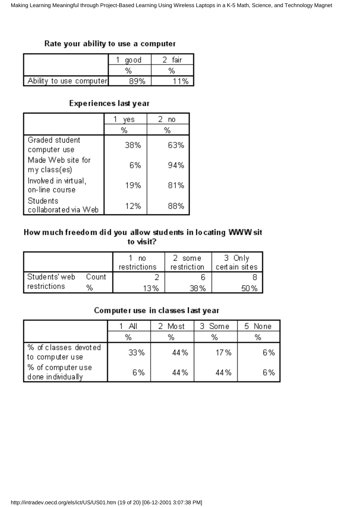#### Rate your ability to use a computer

|                         | go od | fair |
|-------------------------|-------|------|
|                         | %     | %    |
| Ability to use computer | 99%   | 1%   |

#### Experiences last year

|                                        | yes | 2.<br>no. |
|----------------------------------------|-----|-----------|
|                                        | %   | %         |
| Graded student<br>computer use         | 38% | 63%       |
| Made Web site for<br>mγ class(es)      | 6%  | 94%       |
| Involved in virtual,<br>on-line course | 19% | 81%       |
| Students<br>collaborated via Web       | 12% | 88%       |

#### How much freedom did you allow students in locating WWW sit to visit?

|                       |       | no<br>restrictions | some<br>restriction | Only<br>certain sites |
|-----------------------|-------|--------------------|---------------------|-----------------------|
| Students' web         | Count |                    |                     |                       |
| <i>I</i> restrictions | %     | 13%                | 38%                 |                       |

#### Computer use in classes last year

|                                         | ΑIΙ | Most | 3 Some | None |
|-----------------------------------------|-----|------|--------|------|
|                                         | %   | %    | %      | %    |
| % of classes devoted<br>to computer use | 33% | 44%  | 17%    | 6%   |
| % of computer use<br>done individually  | 6%  | 44%  | 44%    | 6%   |